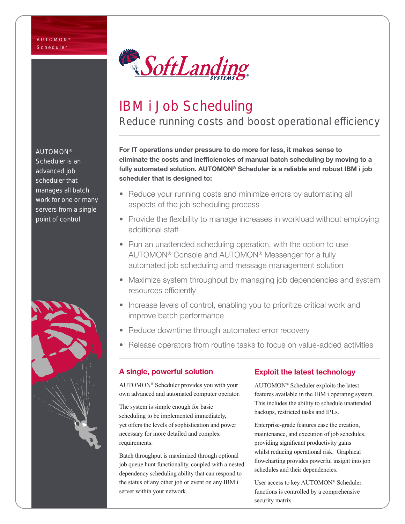

# IBM i Job Scheduling

Reduce running costs and boost operational efficiency

For IT operations under pressure to do more for less, it makes sense to eliminate the costs and inefficiencies of manual batch scheduling by moving to a fully automated solution. AUTOMON® Scheduler is a reliable and robust IBM i job scheduler that is designed to:

- Reduce your running costs and minimize errors by automating all aspects of the job scheduling process
- Provide the flexibility to manage increases in workload without employing additional staff
- Run an unattended scheduling operation, with the option to use AUTOMON® Console and AUTOMON® Messenger for a fully automated job scheduling and message management solution
- Maximize system throughput by managing job dependencies and system resources efficiently
- Increase levels of control, enabling you to prioritize critical work and improve batch performance
- Reduce downtime through automated error recovery
- Release operators from routine tasks to focus on value-added activities

#### A single, powerful solution

AUTOMON® Scheduler provides you with your own advanced and automated computer operator.

The system is simple enough for basic scheduling to be implemented immediately, yet offers the levels of sophistication and power necessary for more detailed and complex requirements.

Batch throughput is maximized through optional job queue hunt functionality, coupled with a nested dependency scheduling ability that can respond to the status of any other job or event on any IBM i server within your network.

#### Exploit the latest technology

AUTOMON® Scheduler exploits the latest features available in the IBM i operating system. This includes the ability to schedule unattended backups, restricted tasks and IPLs.

Enterprise-grade features ease the creation, maintenance, and execution of job schedules, providing significant productivity gains whilst reducing operational risk. Graphical flowcharting provides powerful insight into job schedules and their dependencies.

User access to key AUTOMON® Scheduler functions is controlled by a comprehensive security matrix.

#### AUTOMON®

Scheduler is an advanced job scheduler that manages all batch work for one or many servers from a single point of control